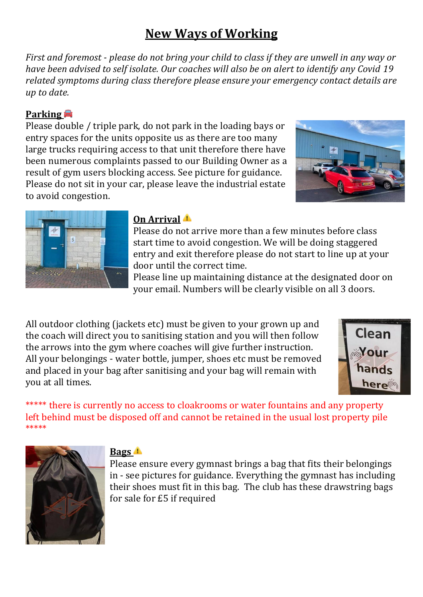# **New Ways of Working**

*First and foremost - please do not bring your child to class if they are unwell in any way or have been advised to self isolate. Our coaches will also be on alert to identify any Covid 19 related symptoms during class therefore please ensure your emergency contact details are up to date.* 

#### **Parking**

Please double / triple park, do not park in the loading bays or entry spaces for the units opposite us as there are too many large trucks requiring access to that unit therefore there have been numerous complaints passed to our Building Owner as a result of gym users blocking access. See picture for guidance. Please do not sit in your car, please leave the industrial estate to avoid congestion.





#### **On Arrival**

Please do not arrive more than a few minutes before class start time to avoid congestion. We will be doing staggered entry and exit therefore please do not start to line up at your door until the correct time.

Please line up maintaining distance at the designated door on your email. Numbers will be clearly visible on all 3 doors.

All outdoor clothing (jackets etc) must be given to your grown up and the coach will direct you to sanitising station and you will then follow the arrows into the gym where coaches will give further instruction. All your belongings - water bottle, jumper, shoes etc must be removed and placed in your bag after sanitising and your bag will remain with you at all times.



\*\*\*\*\* there is currently no access to cloakrooms or water fountains and any property left behind must be disposed off and cannot be retained in the usual lost property pile \*\*\*\*\*



## **Bags**

Please ensure every gymnast brings a bag that fits their belongings in - see pictures for guidance. Everything the gymnast has including their shoes must fit in this bag. The club has these drawstring bags for sale for £5 if required